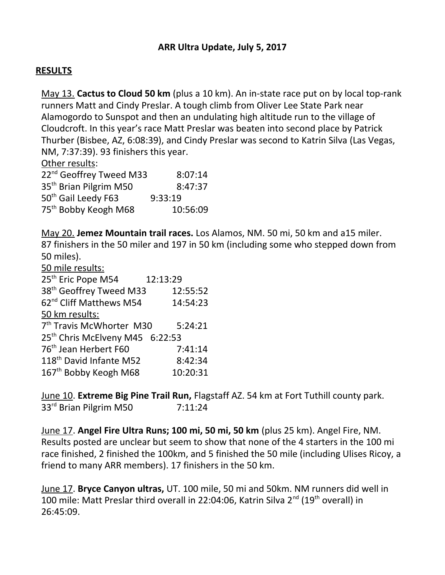## **RESULTS**

May 13. **Cactus to Cloud 50 km** (plus a 10 km). An in-state race put on by local top-rank runners Matt and Cindy Preslar. A tough climb from Oliver Lee State Park near Alamogordo to Sunspot and then an undulating high altitude run to the village of Cloudcroft. In this year's race Matt Preslar was beaten into second place by Patrick Thurber (Bisbee, AZ, 6:08:39), and Cindy Preslar was second to Katrin Silva (Las Vegas, NM, 7:37:39). 93 finishers this year.

Other results:

| 22 <sup>nd</sup> Geoffrey Tweed M33 | 8:07:14  |
|-------------------------------------|----------|
| 35 <sup>th</sup> Brian Pilgrim M50  | 8:47:37  |
| 50 <sup>th</sup> Gail Leedy F63     | 9:33:19  |
| 75 <sup>th</sup> Bobby Keogh M68    | 10:56:09 |

May 20. **Jemez Mountain trail races.** Los Alamos, NM. 50 mi, 50 km and a15 miler. 87 finishers in the 50 miler and 197 in 50 km (including some who stepped down from 50 miles).

| 50 mile results:                            |          |  |
|---------------------------------------------|----------|--|
| 25 <sup>th</sup> Eric Pope M54              | 12:13:29 |  |
| 38 <sup>th</sup> Geoffrey Tweed M33         | 12:55:52 |  |
| 62 <sup>nd</sup> Cliff Matthews M54         | 14:54:23 |  |
| 50 km results:                              |          |  |
| 7 <sup>th</sup> Travis McWhorter M30        | 5:24:21  |  |
| 25 <sup>th</sup> Chris McElveny M45 6:22:53 |          |  |
| 76 <sup>th</sup> Jean Herbert F60           | 7:41:14  |  |
| 118 <sup>th</sup> David Infante M52         | 8:42:34  |  |
| 167 <sup>th</sup> Bobby Keogh M68           | 10:20:31 |  |
|                                             |          |  |

June 10. **Extreme Big Pine Trail Run,** Flagstaff AZ. 54 km at Fort Tuthill county park. 33<sup>rd</sup> Brian Pilgrim M50 7:11:24

June 17. **Angel Fire Ultra Runs; 100 mi, 50 mi, 50 km** (plus 25 km). Angel Fire, NM. Results posted are unclear but seem to show that none of the 4 starters in the 100 mi race finished, 2 finished the 100km, and 5 finished the 50 mile (including Ulises Ricoy, a friend to many ARR members). 17 finishers in the 50 km.

June 17. **Bryce Canyon ultras,** UT. 100 mile, 50 mi and 50km. NM runners did well in 100 mile: Matt Preslar third overall in 22:04:06, Katrin Silva  $2^{nd}$  (19<sup>th</sup> overall) in 26:45:09.